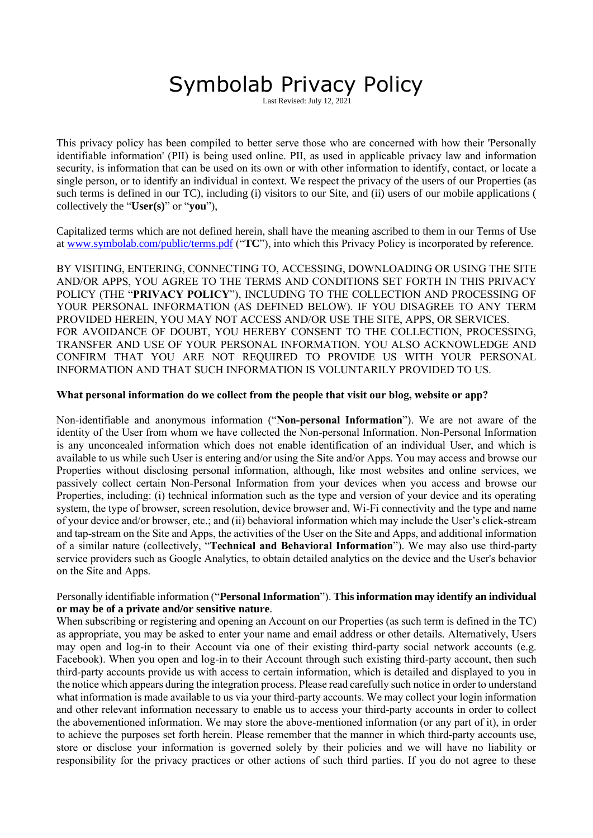# Symbolab Privacy Policy

st Revised: July 12, 2021

This privacy policy has been compiled to better serve those who are concerned with how their 'Personally identifiable information' (PII) is being used online. PII, as used in applicable privacy law and information security, is information that can be used on its own or with other information to identify, contact, or locate a single person, or to identify an individual in context. We respect the privacy of the users of our Properties (as such terms is defined in our TC), including (i) visitors to our Site, and (ii) users of our mobile applications ( collectively the "**User(s)**" or "**you**"),

Capitalized terms which are not defined herein, shall have the meaning ascribed to them in our Terms of Use at [www.symbolab.com/public/terms.pdf](http://www.symbolab.com/public/terms.pdf) ("**TC**"), into which this Privacy Policy is incorporated by reference.

BY VISITING, ENTERING, CONNECTING TO, ACCESSING, DOWNLOADING OR USING THE SITE AND/OR APPS, YOU AGREE TO THE TERMS AND CONDITIONS SET FORTH IN THIS PRIVACY POLICY (THE "**PRIVACY POLICY**"), INCLUDING TO THE COLLECTION AND PROCESSING OF YOUR PERSONAL INFORMATION (AS DEFINED BELOW). IF YOU DISAGREE TO ANY TERM PROVIDED HEREIN, YOU MAY NOT ACCESS AND/OR USE THE SITE, APPS, OR SERVICES . FOR AVOIDANCE OF DOUBT, YOU HEREBY CONSENT TO THE COLLECTION, PROCESSING, TRANSFER AND USE OF YOUR PERSONAL INFORMATION. YOU ALSO ACKNOWLEDGE AND CONFIRM THAT YOU ARE NOT REQUIRED TO PROVIDE US WITH YOUR PERSONAL INFORMATION AND THAT SUCH INFORMATION IS VOLUNTARILY PROVIDED TO US.

#### **What personal information do we collect from the people that visit our blog, website or app?**

Non-identifiable and anonymous information ("**Non-personal Information**"). We are not aware of the identity of the User from whom we have collected the Non-personal Information. Non-Personal Information is any unconcealed information which does not enable identification of an individual User, and which is available to us while such User is entering and/or using the Site and/or Apps. You may access and browse our Properties without disclosing personal information, although, like most websites and online services, we passively collect certain Non-Personal Information from your devices when you access and browse our Properties, including: (i) technical information such as the type and version of your device and its operating system, the type of browser, screen resolution, device browser and, Wi-Fi connectivity and the type and name of your device and/or browser, etc.; and (ii) behavioral information which may include the User's click-stream and tap-stream on the Site and Apps, the activities of the User on the Site and Apps, and additional information of a similar nature (collectively, "**Technical and Behavioral Information**"). We may also use third-party service providers such as Google Analytics, to obtain detailed analytics on the device and the User's behavior on the Site and Apps.

# Personally identifiable information ("**Personal Information**"). **This information may identify an individual or may be of a private and/or sensitive nature**.

When subscribing or registering and opening an Account on our Properties (as such term is defined in the TC) as appropriate, you may be asked to enter your name and email address or other details. Alternatively, Users may open and log-in to their Account via one of their existing third-party social network accounts (e.g. Facebook). When you open and log-in to their Account through such existing third-party account, then such third-party accounts provide us with access to certain information, which is detailed and displayed to you in the notice which appears during the integration process. Please read carefully such notice in order to understand what information is made available to us via your third-party accounts. We may collect your login information and other relevant information necessary to enable us to access your third-party accounts in order to collect the abovementioned information. We may store the above-mentioned information (or any part of it), in order to achieve the purposes set forth herein. Please remember that the manner in which third-party accounts use, store or disclose your information is governed solely by their policies and we will have no liability or responsibility for the privacy practices or other actions of such third parties. If you do not agree to these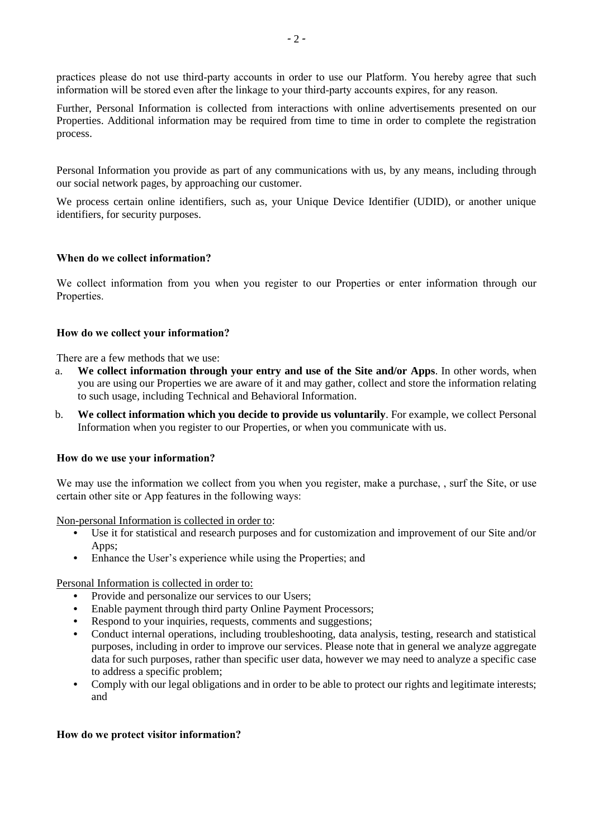practices please do not use third-party accounts in order to use our Platform. You hereby agree that such information will be stored even after the linkage to your third-party accounts expires, for any reason.

Further, Personal Information is collected from interactions with online advertisements presented on our Properties. Additional information may be required from time to time in order to complete the registration process.

Personal Information you provide as part of any communications with us, by any means, including through our social network pages, by approaching our customer.

We process certain online identifiers, such as, your Unique Device Identifier (UDID), or another unique identifiers, for security purposes.

# **When do we collect information?**

We collect information from you when you register to our Properties or enter information through our Properties.

# **How do we collect your information?**

There are a few methods that we use:

- a. **We collect information through your entry and use of the Site and/or Apps**. In other words, when you are using our Properties we are aware of it and may gather, collect and store the information relating to such usage, including Technical and Behavioral Information.
- b. **We collect information which you decide to provide us voluntarily**. For example, we collect Personal Information when you register to our Properties, or when you communicate with us.

# **How do we use your information?**

We may use the information we collect from you when you register, make a purchase, , surf the Site, or use certain other site or App features in the following ways:

Non-personal Information is collected in order to:

- **•** Use it for statistical and research purposes and for customization and improvement of our Site and/or Apps;
- **•** Enhance the User's experience while using the Properties; and

Personal Information is collected in order to:

- Provide and personalize our services to our Users;
- **•** Enable payment through third party Online Payment Processors;
- Respond to your inquiries, requests, comments and suggestions;
- **•** Conduct internal operations, including troubleshooting, data analysis, testing, research and statistical purposes, including in order to improve our services. Please note that in general we analyze aggregate data for such purposes, rather than specific user data, however we may need to analyze a specific case to address a specific problem;
- **•** Comply with our legal obligations and in order to be able to protect our rights and legitimate interests; and

# **How do we protect visitor information?**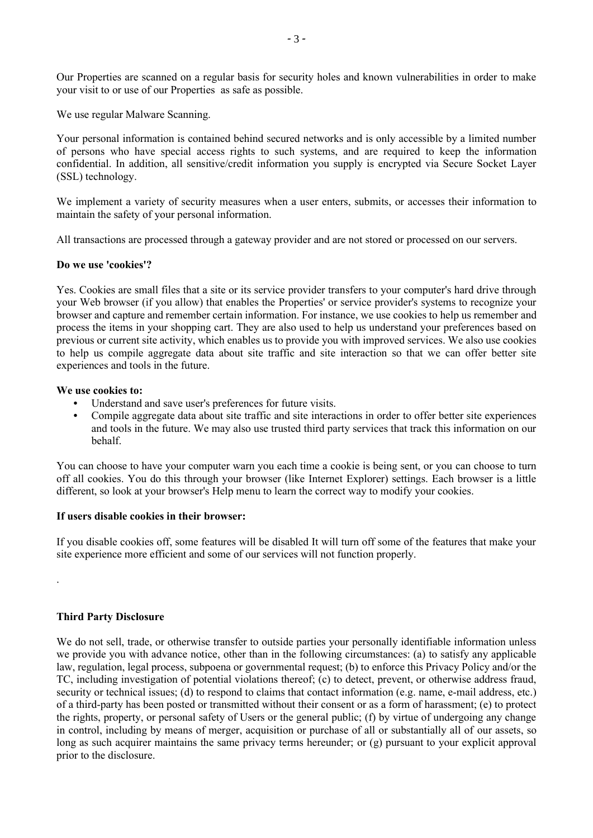Our Properties are scanned on a regular basis for security holes and known vulnerabilities in order to make your visit to or use of our Properties as safe as possible.

We use regular Malware Scanning.

Your personal information is contained behind secured networks and is only accessible by a limited number of persons who have special access rights to such systems, and are required to keep the information confidential. In addition, all sensitive/credit information you supply is encrypted via Secure Socket Layer (SSL) technology.

We implement a variety of security measures when a user enters, submits, or accesses their information to maintain the safety of your personal information.

All transactions are processed through a gateway provider and are not stored or processed on our servers.

#### **Do we use 'cookies'?**

Yes. Cookies are small files that a site or its service provider transfers to your computer's hard drive through your Web browser (if you allow) that enables the Properties' or service provider's systems to recognize your browser and capture and remember certain information. For instance, we use cookies to help us remember and process the items in your shopping cart. They are also used to help us understand your preferences based on previous or current site activity, which enables us to provide you with improved services. We also use cookies to help us compile aggregate data about site traffic and site interaction so that we can offer better site experiences and tools in the future.

#### **We use cookies to:**

- **•** Understand and save user's preferences for future visits.
- **•** Compile aggregate data about site traffic and site interactions in order to offer better site experiences and tools in the future. We may also use trusted third party services that track this information on our behalf.

You can choose to have your computer warn you each time a cookie is being sent, or you can choose to turn off all cookies. You do this through your browser (like Internet Explorer) settings. Each browser is a little different, so look at your browser's Help menu to learn the correct way to modify your cookies.

# **If users disable cookies in their browser:**

If you disable cookies off, some features will be disabled It will turn off some of the features that make your site experience more efficient and some of our services will not function properly.

# **Third Party Disclosure**

.

We do not sell, trade, or otherwise transfer to outside parties your personally identifiable information unless we provide you with advance notice, other than in the following circumstances: (a) to satisfy any applicable law, regulation, legal process, subpoena or governmental request; (b) to enforce this Privacy Policy and/or the TC, including investigation of potential violations thereof; (c) to detect, prevent, or otherwise address fraud, security or technical issues; (d) to respond to claims that contact information (e.g. name, e-mail address, etc.) of a third-party has been posted or transmitted without their consent or as a form of harassment; (e) to protect the rights, property, or personal safety of Users or the general public; (f) by virtue of undergoing any change in control, including by means of merger, acquisition or purchase of all or substantially all of our assets, so long as such acquirer maintains the same privacy terms hereunder; or (g) pursuant to your explicit approval prior to the disclosure.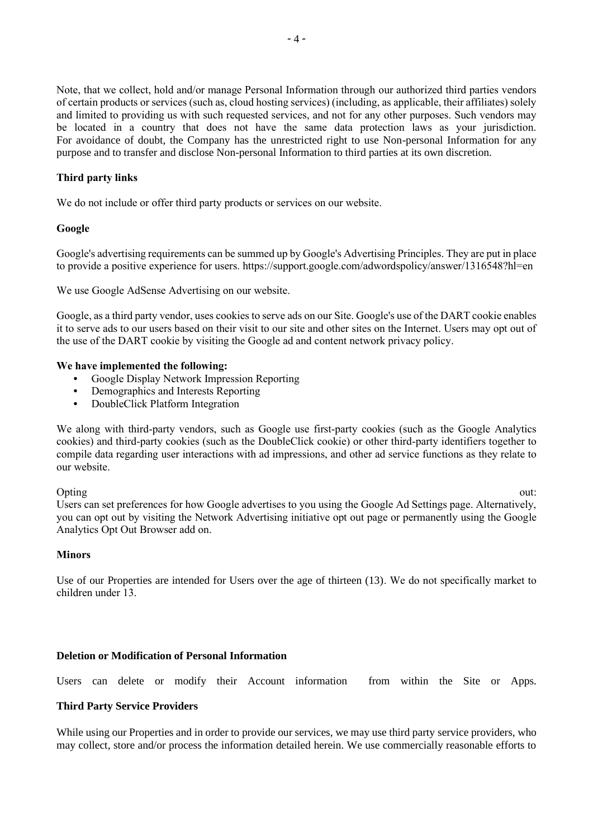Note, that we collect, hold and/or manage Personal Information through our authorized third parties vendors of certain products or services (such as, cloud hosting services) (including, as applicable, their affiliates) solely and limited to providing us with such requested services, and not for any other purposes. Such vendors may be located in a country that does not have the same data protection laws as your jurisdiction. For avoidance of doubt, the Company has the unrestricted right to use Non-personal Information for any purpose and to transfer and disclose Non-personal Information to third parties at its own discretion.

# **Third party links**

We do not include or offer third party products or services on our website.

# **Google**

Google's advertising requirements can be summed up by Google's Advertising Principles. They are put in place to provide a positive experience for users. https://support.google.com/adwordspolicy/answer/1316548?hl=en

We use Google AdSense Advertising on our website.

Google, as a third party vendor, uses cookies to serve ads on our Site. Google's use of the DART cookie enables it to serve ads to our users based on their visit to our site and other sites on the Internet. Users may opt out of the use of the DART cookie by visiting the Google ad and content network privacy policy.

#### **We have implemented the following:**

- **•** Google Display Network Impression Reporting
- **•** Demographics and Interests Reporting
- **•** DoubleClick Platform Integration

We along with third-party vendors, such as Google use first-party cookies (such as the Google Analytics cookies) and third-party cookies (such as the DoubleClick cookie) or other third-party identifiers together to compile data regarding user interactions with ad impressions, and other ad service functions as they relate to our website.

Opting out: Users can set preferences for how Google advertises to you using the Google Ad Settings page. Alternatively, you can opt out by visiting the Network Advertising initiative opt out page or permanently using the Google Analytics Opt Out Browser add on.

# **Minors**

Use of our Properties are intended for Users over the age of thirteen (13). We do not specifically market to children under 13.

# **Deletion or Modification of Personal Information**

Users can delete or modify their Account information from within the Site or Apps.

# **Third Party Service Providers**

While using our Properties and in order to provide our services, we may use third party service providers, who may collect, store and/or process the information detailed herein. We use commercially reasonable efforts to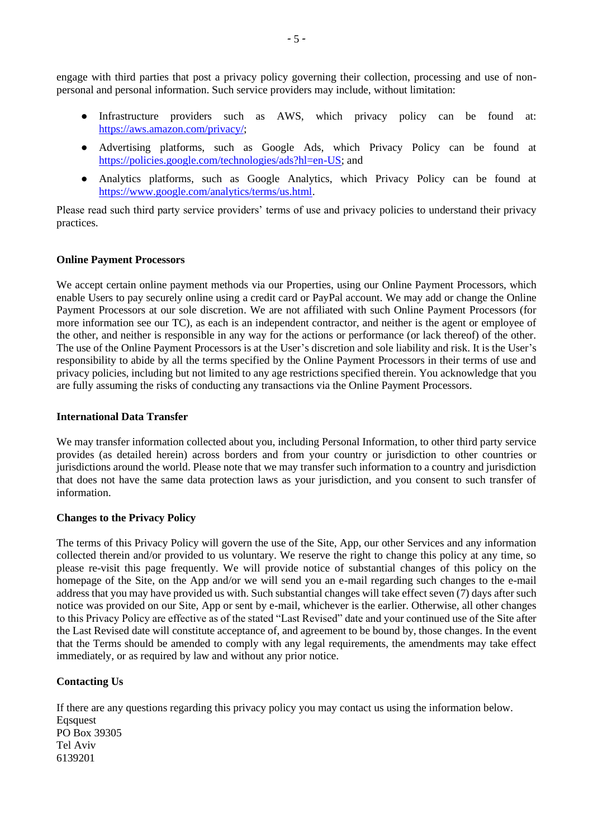engage with third parties that post a privacy policy governing their collection, processing and use of nonpersonal and personal information. Such service providers may include, without limitation:

- Infrastructure providers such as AWS, which privacy policy can be found at: [https://aws.amazon.com/privacy/;](https://aws.amazon.com/privacy/)
- Advertising platforms, such as Google Ads, which Privacy Policy can be found at [https://policies.google.com/technologies/ads?hl=en-US;](https://policies.google.com/technologies/ads?hl=en-US) and
- Analytics platforms, such as Google Analytics, which Privacy Policy can be found at [https://www.google.com/analytics/terms/us.html.](https://www.google.com/analytics/terms/us.html)

Please read such third party service providers' terms of use and privacy policies to understand their privacy practices.

# **Online Payment Processors**

We accept certain online payment methods via our Properties, using our Online Payment Processors, which enable Users to pay securely online using a credit card or PayPal account. We may add or change the Online Payment Processors at our sole discretion. We are not affiliated with such Online Payment Processors (for more information see our TC), as each is an independent contractor, and neither is the agent or employee of the other, and neither is responsible in any way for the actions or performance (or lack thereof) of the other. The use of the Online Payment Processors is at the User's discretion and sole liability and risk. It is the User's responsibility to abide by all the terms specified by the Online Payment Processors in their terms of use and privacy policies, including but not limited to any age restrictions specified therein. You acknowledge that you are fully assuming the risks of conducting any transactions via the Online Payment Processors.

#### **International Data Transfer**

We may transfer information collected about you, including Personal Information, to other third party service provides (as detailed herein) across borders and from your country or jurisdiction to other countries or jurisdictions around the world. Please note that we may transfer such information to a country and jurisdiction that does not have the same data protection laws as your jurisdiction, and you consent to such transfer of information.

# **Changes to the Privacy Policy**

The terms of this Privacy Policy will govern the use of the Site, App, our other Services and any information collected therein and/or provided to us voluntary. We reserve the right to change this policy at any time, so please re-visit this page frequently. We will provide notice of substantial changes of this policy on the homepage of the Site, on the App and/or we will send you an e-mail regarding such changes to the e-mail address that you may have provided us with. Such substantial changes will take effect seven (7) days after such notice was provided on our Site, App or sent by e-mail, whichever is the earlier. Otherwise, all other changes to this Privacy Policy are effective as of the stated "Last Revised" date and your continued use of the Site after the Last Revised date will constitute acceptance of, and agreement to be bound by, those changes. In the event that the Terms should be amended to comply with any legal requirements, the amendments may take effect immediately, or as required by law and without any prior notice.

# **Contacting Us**

If there are any questions regarding this privacy policy you may contact us using the information below. Eqsquest PO Box 39305 Tel Aviv 6139201